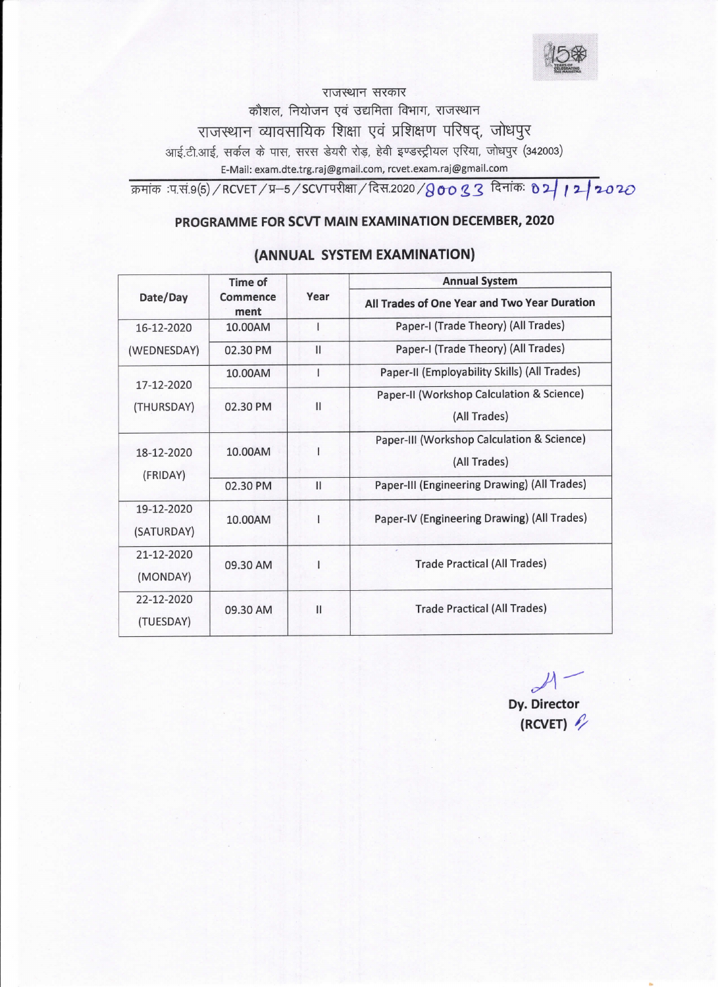राजस्थान सरकार कौशल, नियोजन एवं उद्यमिता विभाग, राजस्थान राजस्थान व्यावसायिक शिक्षा एवं प्रशिक्षण परिषद्, जोधपुर आई.टी.आई, सर्कल के पास, सरस डेयरी रोड़, हेवी इण्डस्ट्रीयल एरिया, जोधपुर (342003) E-Mail: exam.dte.trg.raj@gmail.com, rcvet.exam.raj@gmail.com

क्रमांक :प.सं.9(5) / RCVET / प्र $-$ 5 / SCVTपरीक्षा / दिस.2020 / $8$ oo  $3$   $3$  दिनांकः  $8$   $2$   $\mid$   $1$   $2$   $\mid$   $2$   $0$   $2$   $C$ 

## PROGRAMME FOR SCVT MAIN EXAMINATloN DECEMBER, 2020

| Date/Day                 | Time of<br>Commence<br>ment | Year          | <b>Annual System</b>                                       |
|--------------------------|-----------------------------|---------------|------------------------------------------------------------|
|                          |                             |               | All Trades of One Year and Two Year Duration               |
| 16-12-2020               | 10.00AM                     |               | Paper-I (Trade Theory) (All Trades)                        |
| (WEDNESDAY)              | 02.30 PM                    | $\mathsf{II}$ | Paper-I (Trade Theory) (All Trades)                        |
| 17-12-2020<br>(THURSDAY) | 10.00AM                     | ı             | Paper-II (Employability Skills) (All Trades)               |
|                          | 02.30 PM                    | $\mathbf{I}$  | Paper-II (Workshop Calculation & Science)<br>(All Trades)  |
| 18-12-2020<br>(FRIDAY)   | 10.00AM                     |               | Paper-III (Workshop Calculation & Science)<br>(All Trades) |
|                          | 02.30 PM                    | $\mathbf{I}$  | Paper-III (Engineering Drawing) (All Trades)               |
| 19-12-2020<br>(SATURDAY) | 10.00AM                     |               | Paper-IV (Engineering Drawing) (All Trades)                |
| 21-12-2020<br>(MONDAY)   | 09.30 AM                    |               | <b>Trade Practical (All Trades)</b>                        |
| 22-12-2020<br>(TUESDAY)  | 09.30 AM                    | $\mathbf{I}$  | <b>Trade Practical (All Trades)</b>                        |

## (ANNUAL SYSTEM EXAMINATION)

Dy. Director (RCVET)  $\ell$